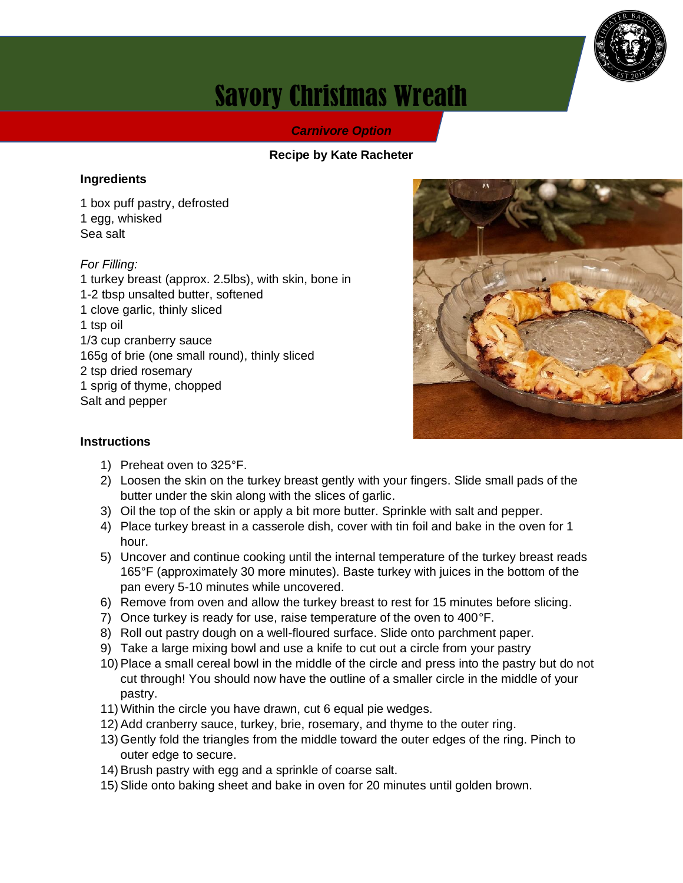

# Savory Christmas Wreath

#### *Carnivore Option*

#### **Recipe by Kate Racheter**

#### **Ingredients**

1 box puff pastry, defrosted 1 egg, whisked Sea salt

#### *For Filling:*

1 turkey breast (approx. 2.5lbs), with skin, bone in 1-2 tbsp unsalted butter, softened 1 clove garlic, thinly sliced 1 tsp oil 1/3 cup cranberry sauce 165g of brie (one small round), thinly sliced 2 tsp dried rosemary 1 sprig of thyme, chopped Salt and pepper



#### **Instructions**

- 1) Preheat oven to 325°F.
- 2) Loosen the skin on the turkey breast gently with your fingers. Slide small pads of the butter under the skin along with the slices of garlic.
- 3) Oil the top of the skin or apply a bit more butter. Sprinkle with salt and pepper.
- 4) Place turkey breast in a casserole dish, cover with tin foil and bake in the oven for 1 hour.
- 5) Uncover and continue cooking until the internal temperature of the turkey breast reads 165°F (approximately 30 more minutes). Baste turkey with juices in the bottom of the pan every 5-10 minutes while uncovered.
- 6) Remove from oven and allow the turkey breast to rest for 15 minutes before slicing.
- 7) Once turkey is ready for use, raise temperature of the oven to 400°F.
- 8) Roll out pastry dough on a well-floured surface. Slide onto parchment paper.
- 9) Take a large mixing bowl and use a knife to cut out a circle from your pastry
- 10) Place a small cereal bowl in the middle of the circle and press into the pastry but do not cut through! You should now have the outline of a smaller circle in the middle of your pastry.
- 11) Within the circle you have drawn, cut 6 equal pie wedges.
- 12) Add cranberry sauce, turkey, brie, rosemary, and thyme to the outer ring.
- 13) Gently fold the triangles from the middle toward the outer edges of the ring. Pinch to outer edge to secure.
- 14) Brush pastry with egg and a sprinkle of coarse salt.
- 15) Slide onto baking sheet and bake in oven for 20 minutes until golden brown.